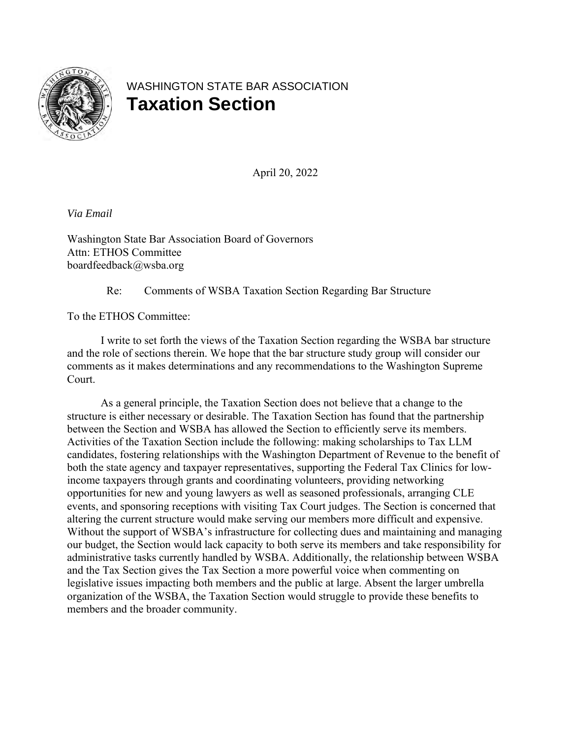

# WASHINGTON STATE BAR ASSOCIATION **Taxation Section**

April 20, 2022

*Via Email*

Washington State Bar Association Board of Governors Attn: ETHOS Committee boardfeedback@wsba.org

Re: Comments of WSBA Taxation Section Regarding Bar Structure

To the ETHOS Committee:

I write to set forth the views of the Taxation Section regarding the WSBA bar structure and the role of sections therein. We hope that the bar structure study group will consider our comments as it makes determinations and any recommendations to the Washington Supreme Court.

As a general principle, the Taxation Section does not believe that a change to the structure is either necessary or desirable. The Taxation Section has found that the partnership between the Section and WSBA has allowed the Section to efficiently serve its members. Activities of the Taxation Section include the following: making scholarships to Tax LLM candidates, fostering relationships with the Washington Department of Revenue to the benefit of both the state agency and taxpayer representatives, supporting the Federal Tax Clinics for lowincome taxpayers through grants and coordinating volunteers, providing networking opportunities for new and young lawyers as well as seasoned professionals, arranging CLE events, and sponsoring receptions with visiting Tax Court judges. The Section is concerned that altering the current structure would make serving our members more difficult and expensive. Without the support of WSBA's infrastructure for collecting dues and maintaining and managing our budget, the Section would lack capacity to both serve its members and take responsibility for administrative tasks currently handled by WSBA. Additionally, the relationship between WSBA and the Tax Section gives the Tax Section a more powerful voice when commenting on legislative issues impacting both members and the public at large. Absent the larger umbrella organization of the WSBA, the Taxation Section would struggle to provide these benefits to members and the broader community.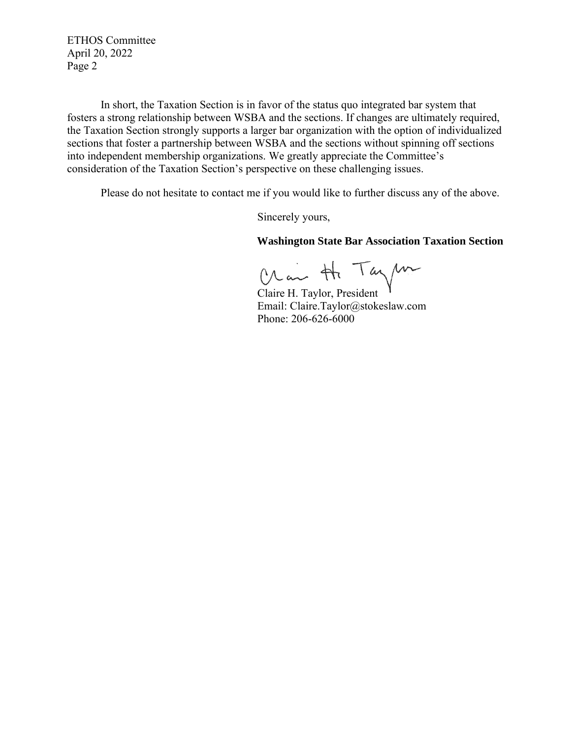ETHOS Committee April 20, 2022 Page 2

In short, the Taxation Section is in favor of the status quo integrated bar system that fosters a strong relationship between WSBA and the sections. If changes are ultimately required, the Taxation Section strongly supports a larger bar organization with the option of individualized sections that foster a partnership between WSBA and the sections without spinning off sections into independent membership organizations. We greatly appreciate the Committee's consideration of the Taxation Section's perspective on these challenging issues.

Please do not hesitate to contact me if you would like to further discuss any of the above.

Sincerely yours,

#### **Washington State Bar Association Taxation Section**

Chair Ht Taylor

 Email: Claire.Taylor@stokeslaw.com Phone: 206-626-6000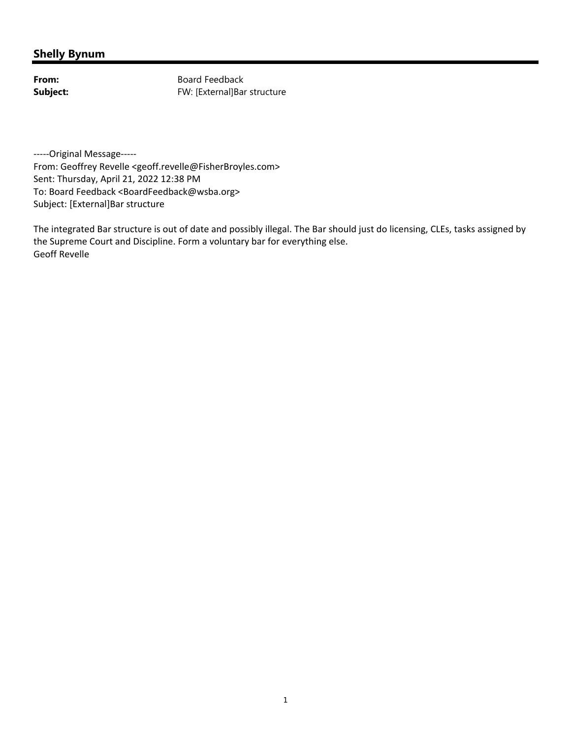From: Board Feedback **Subject:** FW: [External]Bar structure

-----Original Message-----

From: Geoffrey Revelle <geoff.revelle@FisherBroyles.com> Sent: Thursday, April 21, 2022 12:38 PM To: Board Feedback <BoardFeedback@wsba.org> Subject: [External]Bar structure

The integrated Bar structure is out of date and possibly illegal. The Bar should just do licensing, CLEs, tasks assigned by the Supreme Court and Discipline. Form a voluntary bar for everything else. Geoff Revelle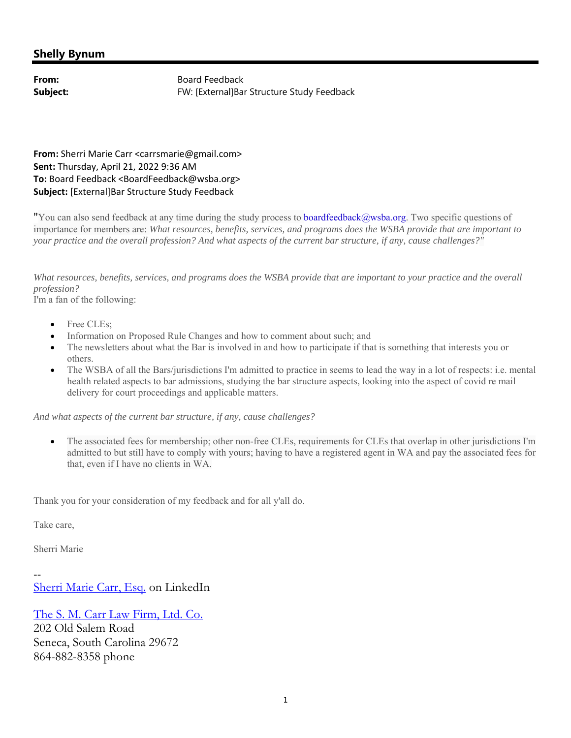**From:** Board Feedback Subject: FW: [External]Bar Structure Study Feedback

**From:** Sherri Marie Carr <carrsmarie@gmail.com> **Sent:** Thursday, April 21, 2022 9:36 AM **To:** Board Feedback <BoardFeedback@wsba.org> **Subject:** [External]Bar Structure Study Feedback

"You can also send feedback at any time during the study process to boardfeedback@wsba.org. Two specific questions of importance for members are: *What resources, benefits, services, and programs does the WSBA provide that are important to your practice and the overall profession? And what aspects of the current bar structure, if any, cause challenges?"*

*What resources, benefits, services, and programs does the WSBA provide that are important to your practice and the overall profession?* 

I'm a fan of the following:

- Free CLEs;
- Information on Proposed Rule Changes and how to comment about such; and
- The newsletters about what the Bar is involved in and how to participate if that is something that interests you or others.
- The WSBA of all the Bars/jurisdictions I'm admitted to practice in seems to lead the way in a lot of respects: i.e. mental health related aspects to bar admissions, studying the bar structure aspects, looking into the aspect of covid re mail delivery for court proceedings and applicable matters.

*And what aspects of the current bar structure, if any, cause challenges?*

 The associated fees for membership; other non-free CLEs, requirements for CLEs that overlap in other jurisdictions I'm admitted to but still have to comply with yours; having to have a registered agent in WA and pay the associated fees for that, even if I have no clients in WA.

Thank you for your consideration of my feedback and for all y'all do.

Take care,

Sherri Marie

-- Sherri Marie Carr, Esq. on LinkedIn

The S. M. Carr Law Firm, Ltd. Co. 202 Old Salem Road Seneca, South Carolina 29672 864-882-8358 phone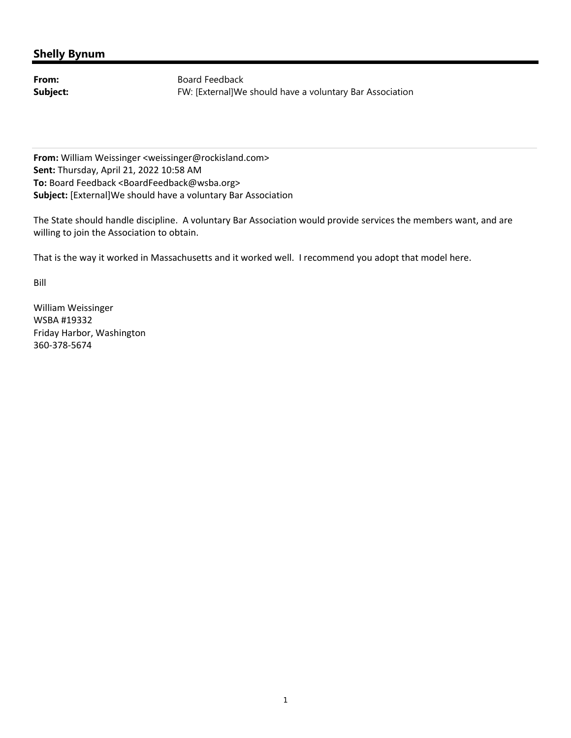From: Board Feedback **Subject:** FW: [External]We should have a voluntary Bar Association

**From:** William Weissinger <weissinger@rockisland.com> **Sent:** Thursday, April 21, 2022 10:58 AM **To:** Board Feedback <BoardFeedback@wsba.org> **Subject:** [External]We should have a voluntary Bar Association

The State should handle discipline. A voluntary Bar Association would provide services the members want, and are willing to join the Association to obtain.

That is the way it worked in Massachusetts and it worked well. I recommend you adopt that model here.

Bill

William Weissinger WSBA #19332 Friday Harbor, Washington 360‐378‐5674